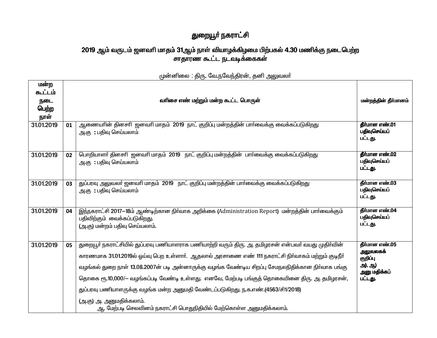## துறையூா் நகராட்சி

## 2019 ஆம் வருடம் ஜனவரி மாதம் 31ஆம் நாள் வியாழக்கிழமை பிற்பகல் 4.30 மணிக்கு நடைபெற்ற<br>சாதாரண கூட்ட நடவடிக்கைகள்

| மன்ற<br>கூட்டம்<br>நடை<br>பெற்ற<br>நாள் |    | வரிசை எண் மற்றும் மன்ற கூட்ட பொருள்                                                                                                                                                                                                                                                                                                                                                                                                                                                                                                                                                                | மன்றத்தின் தீர்மானம்                                                        |
|-----------------------------------------|----|----------------------------------------------------------------------------------------------------------------------------------------------------------------------------------------------------------------------------------------------------------------------------------------------------------------------------------------------------------------------------------------------------------------------------------------------------------------------------------------------------------------------------------------------------------------------------------------------------|-----------------------------------------------------------------------------|
| 31.01.2019                              | 01 | ஆணையாின் தினசாி  ஜனவாி மாதம்  2019  நாட் குறிப்பு மன்றத்தின் பாா்வைக்கு வைக்கப்படுகிறது<br>அ.கு :பதிவு செய்யலாம்                                                                                                                                                                                                                                                                                                                                                                                                                                                                                   | தீர்மான எண்.01<br>பதிவுசெய்யப்<br>பட்டது.                                   |
| 31.01.2019                              | 02 | பொறியாளா் தினசாி ஜனவாி மாதம் 2019 நாட் குறிப்பு மன்றத்தின் பாா்வைக்கு வைக்கப்படுகிறது<br>அ.கு : பதிவு செய்யலாம்                                                                                                                                                                                                                                                                                                                                                                                                                                                                                    | <b>தீர்மான எண்.02</b><br>பதிவுசெய்யப்<br>பட்டது.                            |
| 31.01.2019                              | 03 | துப்பரவு அலுவலர் ஜனவரி மாதம் 2019 நாட் குறிப்பு மன்றத்தின் பார்வைக்கு வைக்கப்படுகிறது<br>அ.கு :பதிவு செய்யலாம்                                                                                                                                                                                                                                                                                                                                                                                                                                                                                     | தீர்மான எண். $03$<br>பதிவுசெய்யப்<br>பட்டது.                                |
| 31.01.2019                              | 04 | இந்நகராட்சி 2017–18ம் ஆண்டிற்கான நிர்வாக அறிக்கை (Administration Report) மன்றத்தின் பார்வைக்கும்<br>பதிவிற்கும் வைக்கப்படுகிறது.<br>(அ.கு) மன்றம் பதிவு செய்யலாம்.                                                                                                                                                                                                                                                                                                                                                                                                                                 | தீர்மான எண்.04<br>பதிவுசெய்யப்<br>பட்டது.                                   |
| 31.01.2019                              | 05 | துறையூா் நகராட்சியில் துப்பரவு பணியாளராக பணியாற்றி வரும் திரு. அ. தமிழரசன் என்பவா் வயது முதிா்வின்<br>காரணமாக 31.01.2019ல் ஒய்வு பெற உள்ளாா். ஆதலால் அரசாணை எண் 111 நகராட்சி நிா்வாகம் மற்றும் குடிநீா்<br>வழங்கல் துறை நாள் 13.08.2007ன் படி அன்னாருக்கு வழங்க வேண்டிய சிறப்பு சேமநலநிதிக்கான நிர்வாக பங்கு<br>தொகை ரூ.10,000/— வழங்கப்படி வேண்டி உள்ளது. எனவே, மேற்படி பங்குத் தொகையினை திரு. அ. தமிழரசன்,<br>துப்பரவு பணியாளருக்கு வழங்க மன்ற அனுமதி வேண்டப்படுகிறது. ந.க.எண்.(4563/சி1/2018)<br>(அ.கு) அ. அனுமதிக்கலாம்.<br>ஆ. மேற்படி செலவினம் நகராட்சி பொதுநிதியில் மேற்கொள்ள அனுமதிக்கலாம். | தீர்மான எண்.05<br>அலுவலகக்<br>குறிப்பு<br>அ), ஆ)<br>அனு மதிக்கப்<br>பட்டது. |

முன்னிலை : திரு. வே.நவேந்திரன், தனி அலுவலா்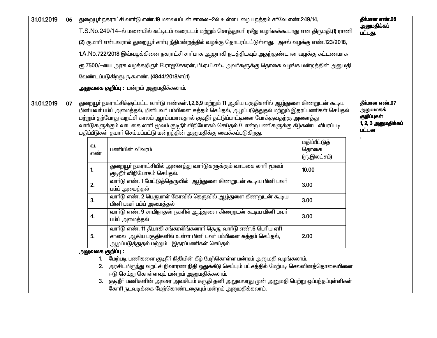| 31.01.2019 | 06                                                                                              | துறையூர் நகராட்சி வார்டு எண்.19 மலையப்பன் சாலை–2ல் உள்ள பழைய நத்தம் சர்வே எண்.249/14,<br>தீர்மான எண்.06<br>அனுமதிக்கப் |                                                                                                                |                                                                                                                                                                                                              |                       |                              |  |  |  |
|------------|-------------------------------------------------------------------------------------------------|------------------------------------------------------------------------------------------------------------------------|----------------------------------------------------------------------------------------------------------------|--------------------------------------------------------------------------------------------------------------------------------------------------------------------------------------------------------------|-----------------------|------------------------------|--|--|--|
|            |                                                                                                 |                                                                                                                        | T.S.No.249/14-ல் மனையில் கட்டிடம் வரைபடம் மற்றும் சொத்துவரி ரசீது வழங்கக்கூடாது என திருமதி.(1) ராணி<br>பட்டது. |                                                                                                                                                                                                              |                       |                              |  |  |  |
|            |                                                                                                 |                                                                                                                        |                                                                                                                | (2) குமாரி என்பவரால் துறையூர் சார்பு நீதிமன்றத்தில் வழக்கு தொடரப்பட்டுள்ளது. அசல் வழக்கு எண்.123/2018,                                                                                                       |                       |                              |  |  |  |
|            |                                                                                                 |                                                                                                                        |                                                                                                                | 1.A.No.722/2018 இவ்வழக்கினை நகராட்சி சாா்பாக ஆஜராகி நடத்திடவும் அதற்குண்டான வழக்கு கட்டணமாக                                                                                                                  |                       |                              |  |  |  |
|            |                                                                                                 |                                                                                                                        |                                                                                                                | ரூ.7500/-யை அரசு வழக்கறிஞர் R.ராஜசேகரன், பி.ஏ.பி.எல்., அவர்களுக்கு தொகை வழங்க மன்றத்தின் அனுமதி                                                                                                              |                       |                              |  |  |  |
|            |                                                                                                 |                                                                                                                        |                                                                                                                | வேண்டப்படுகிறது. ந.க.எண். (4844/2018/எப்1)                                                                                                                                                                   |                       |                              |  |  |  |
|            |                                                                                                 |                                                                                                                        |                                                                                                                | <b>அலுவலக குறிப்பு :</b> மன்றம் அனுமதிக்கலாம்.                                                                                                                                                               |                       |                              |  |  |  |
|            |                                                                                                 |                                                                                                                        |                                                                                                                |                                                                                                                                                                                                              |                       |                              |  |  |  |
| 31.01.2019 | 07                                                                                              |                                                                                                                        |                                                                                                                | துறையூர் நகராட்சிக்குட்பட்ட வார்டு எண்கள்.1,2,6,9 மற்றும் 11 ஆகிய பகுதிகளில் ஆழ்துளை கிணறுடன் கூடிய<br>மினிபவா் பம்ப் அமைத்தல், மினிபவா் பம்பினை சுத்தம் செய்தல், ஆழப்படுத்துதல் மற்றும் இதரப்பணிகள் செய்தல் |                       | தீர்மான எண்.07<br>அலுவலகக்   |  |  |  |
|            |                                                                                                 |                                                                                                                        |                                                                                                                | மற்றும் தற்போது வறட்சி காலம் ஆரம்பமாவதால் குடிநீர் தட்டுப்பாட்டினை போக்குவதற்கு அனைத்து                                                                                                                      |                       | குறிப்புகள்                  |  |  |  |
|            |                                                                                                 |                                                                                                                        |                                                                                                                | வார்டுகளுக்கும் வாடகை லாரி மூலம் குடிநீர் விநியோகம் செய்தல் போன்ற பணிகளுக்கு கீழ்கண்ட விபரப்படி                                                                                                              |                       | 1, 2, 3 அனுமதிக்கப்<br>பட்டன |  |  |  |
|            |                                                                                                 |                                                                                                                        |                                                                                                                | மதிப்பீடுகள் தயார் செய்யப்பட்டு மன்றத்தின் அனுமதிக்கு வைக்கப்படுகிறது.                                                                                                                                       |                       |                              |  |  |  |
|            |                                                                                                 |                                                                                                                        | வ.                                                                                                             | பணியின் விவரம்                                                                                                                                                                                               | மதிப்பீட்டுத்<br>தொகை |                              |  |  |  |
|            |                                                                                                 |                                                                                                                        | எண்                                                                                                            |                                                                                                                                                                                                              | (ரூ.இலட்சம்)          |                              |  |  |  |
|            |                                                                                                 |                                                                                                                        | 1.                                                                                                             | துறையூா் நகராட்சியில் அனைத்து வாா்டுகளுக்கும் வாடகை லாாி மூலம்<br>குடிநீா் விநியோகம் செய்தல்.                                                                                                                | 10.00                 |                              |  |  |  |
|            |                                                                                                 |                                                                                                                        | 2.                                                                                                             | வாா்டு எண். 1 மேட்டுத்தெருவில் ஆழ்துளை கிணறுடன் கூடிய மினி பவா்<br>பம்ப் அமைத்தல்                                                                                                                            | 3.00                  |                              |  |  |  |
|            |                                                                                                 |                                                                                                                        | 3.                                                                                                             | வாா்டு எண். 2 பெருமாள் கோவில் தெருவில் ஆழ்துளை கிணறுடன் கூடிய<br>மினி பவர் பம்ப் அமைத்தல்                                                                                                                    | 3.00                  |                              |  |  |  |
|            | வாா்டு எண். 9 சாமிநாதன் நகாில் ஆழ்துளை கிணறுடன் கூடிய மினி பவா்<br>3.00<br>4.<br>பம்ப் அமைத்தல் |                                                                                                                        |                                                                                                                |                                                                                                                                                                                                              |                       |                              |  |  |  |
|            |                                                                                                 |                                                                                                                        |                                                                                                                | வார்டு எண். 11 தியாகி சங்கரலிங்கனார் தெரு, வார்டு எண்.6 பெரிய ஏரி                                                                                                                                            |                       |                              |  |  |  |
|            |                                                                                                 |                                                                                                                        | சாலை ஆகிய பகுதிகளில் உள்ள மினி பவர் பம்பினை சுத்தம் செய்தல்,<br>2.00<br>5.                                     |                                                                                                                                                                                                              |                       |                              |  |  |  |
|            |                                                                                                 |                                                                                                                        | ஆழப்படுத்துதல் மற்றும் இதரப்பணிகள் செய்தல்<br>அலுவலக குறிப்பு:                                                 |                                                                                                                                                                                                              |                       |                              |  |  |  |
|            |                                                                                                 |                                                                                                                        | 1                                                                                                              | மேற்படி பணிகளை குடிநீா் நிதியின் கீழ் மேற்கொள்ள மன்றம் அனுமதி வழங்கலாம்.                                                                                                                                     |                       |                              |  |  |  |
|            |                                                                                                 |                                                                                                                        | 2.                                                                                                             | அரசிடமிருந்து வறட்சி நிவாரண நிதி ஒதுக்கீடு செய்யும் பட்சத்தில் மேற்படி செலவினத்தொகையினை                                                                                                                      |                       |                              |  |  |  |
|            |                                                                                                 |                                                                                                                        |                                                                                                                | ஈடு செய்து கொள்ளவும் மன்றம் அனுமதிக்கலாம்.                                                                                                                                                                   |                       |                              |  |  |  |
|            |                                                                                                 |                                                                                                                        | 3.                                                                                                             | குடிநீா் பணிகளின் அவசர அவசியம் கருதி தனி அலுவலரது முன் அனுமதி பெற்று ஒப்பந்தப்புள்ளிகள்                                                                                                                      |                       |                              |  |  |  |
|            | கோரி நடவடிக்கை மேற்கொண்டதையும் மன்றம் அனுமதிக்கலாம்.                                            |                                                                                                                        |                                                                                                                |                                                                                                                                                                                                              |                       |                              |  |  |  |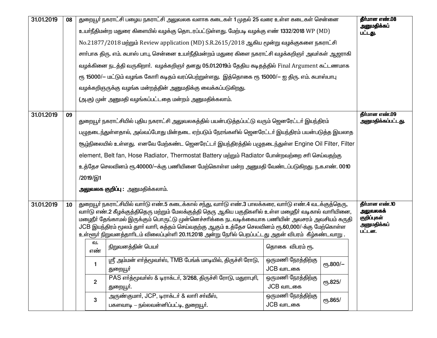| 31.01.2019 | 08 | துறையூர் நகராட்சி பழைய நகராட்சி அலுவலக வளாக கடைகள் 1 முதல் 25 வரை உள்ள கடைகள் சென்னை<br>தீர்மான எண்.08<br>அனுமதிக்கப் |                                                                                                      |                                                                                                                                                                                                      |                                 |                 |                         |  |  |  |
|------------|----|-----------------------------------------------------------------------------------------------------------------------|------------------------------------------------------------------------------------------------------|------------------------------------------------------------------------------------------------------------------------------------------------------------------------------------------------------|---------------------------------|-----------------|-------------------------|--|--|--|
|            |    |                                                                                                                       | உயா்நீதிமன்ற மதுரை கிளையில் வழக்கு தொடரப்பட்டுள்ளது. மேற்படி வழக்கு எண் 1332/2018 WP (MD)<br>பட்டது. |                                                                                                                                                                                                      |                                 |                 |                         |  |  |  |
|            |    |                                                                                                                       |                                                                                                      | No.21877/2018 மற்றும் Review application (MD) S.R.2615/2018 ஆகிய மூன்று வழக்குகளை நகராட்சி                                                                                                           |                                 |                 |                         |  |  |  |
|            |    |                                                                                                                       |                                                                                                      | சாா்பாக திரு. எம். சுபாஸ் பாபு, சென்னை உயா்நீதிமன்றம் மதுரை கிளை நகராட்சி வழக்கறிஞா் அவா்கள் ஆஜராகி                                                                                                  |                                 |                 |                         |  |  |  |
|            |    |                                                                                                                       |                                                                                                      | வழக்கினை நடத்தி வருகிறாா்.  வழக்கறிஞா் தனது 05.01.2019ம் தேதிய கடிதத்தில் Final Argument கட்டணமாக                                                                                                    |                                 |                 |                         |  |  |  |
|            |    |                                                                                                                       |                                                                                                      | ரூ 15000/— மட்டும் வழங்க கோரி கடிதம் வரப்பெற்றுள்ளது.  இத்தொகை ரூ 15000/— ஐ திரு. எம். சுபாஸ்பாபு                                                                                                    |                                 |                 |                         |  |  |  |
|            |    |                                                                                                                       |                                                                                                      | வழக்கறிஞருக்கு வழங்க மன்றத்தின் அனுமதிக்கு வைக்கப்படுகிறது.                                                                                                                                          |                                 |                 |                         |  |  |  |
|            |    |                                                                                                                       |                                                                                                      | (அ.கு) முன் அனுமதி வழங்கப்பட்டதை மன்றம் அனுமதிக்கலாம்.                                                                                                                                               |                                 |                 |                         |  |  |  |
| 31.01.2019 | 09 |                                                                                                                       |                                                                                                      |                                                                                                                                                                                                      |                                 |                 | தீர்மான எண்.09          |  |  |  |
|            |    |                                                                                                                       |                                                                                                      | துறையூா் நகராட்சியில் புதிய நகராட்சி அலுவலகத்தில் பயன்படுத்தப்பட்டு வரும் ஜெனரேட்டா் இயந்திரம்                                                                                                       |                                 |                 | அனுமதிக்கப்பட்டது.      |  |  |  |
|            |    |                                                                                                                       |                                                                                                      | பழுதடைந்துள்ளதால், அவ்வப்போது மின்தடை ஏற்படும் நேரங்களில் ஜெனரேட்டா் இயந்திரம் பயன்படுத்த இயலாத                                                                                                      |                                 |                 |                         |  |  |  |
|            |    |                                                                                                                       |                                                                                                      | சூழ்நிலையில் உள்ளது. எனவே மேற்கண்ட ஜெனரேட்டர் இயந்திரத்தில் பழுதடைந்துள்ள Engine Oil Filter, Filter                                                                                                  |                                 |                 |                         |  |  |  |
|            |    |                                                                                                                       |                                                                                                      | element, Belt fan, Hose Radiator, Thermostat Battery மற்றும் Radiator போன்றவற்றை சரி செய்வதற்கு                                                                                                      |                                 |                 |                         |  |  |  |
|            |    |                                                                                                                       |                                                                                                      | உத்தேச செலவினம் ரூ.40000/—க்கு பணியினை மேற்கொள்ள மன்ற அனுமதி வேண்டப்படுகிறது. ந.க.எண். 0010                                                                                                          |                                 |                 |                         |  |  |  |
|            |    |                                                                                                                       | /2019/இ1                                                                                             |                                                                                                                                                                                                      |                                 |                 |                         |  |  |  |
|            |    |                                                                                                                       | <b>அலுவலக குறிப்பு :</b> அனுமதிக்கலாம்.                                                              |                                                                                                                                                                                                      |                                 |                 |                         |  |  |  |
| 31.01.2019 | 10 |                                                                                                                       |                                                                                                      | துறையூர் நகராட்சியில் வார்டு எண்.5 கடைக்கால் சந்து, வார்டு எண்.3 பாலக்கரை, வார்டு எண்.4 வடக்குத்தெரு,                                                                                                |                                 |                 | தீர்மான எண்.10          |  |  |  |
|            |    |                                                                                                                       |                                                                                                      | வாா்டு எண்.2 கீழக்குத்திதெரு மற்றும் மேலக்குத்தி தெரு ஆகிய பகுதிகளில் உள்ள மழைநீா் வடிகால் வாாியினை,                                                                                                 |                                 |                 | அலுவலகக்<br>குறிப்புகள் |  |  |  |
|            |    |                                                                                                                       |                                                                                                      | மழைநீா் தேங்காமல் இருக்கும் பொருட்டு முன்னெச்சாிக்கை நடவடிக்கையாக பணியின் அவசரம் அவசியம் கருதி<br>JCB இயந்திரம் மூலம் துாா் வாாி, சுத்தம் செய்வதற்கு ஆகும் உத்தேச செலவினம் ரூ.60,000/-க்கு மேற்கொள்ள |                                 |                 | அனுமதிக்கப்             |  |  |  |
|            |    |                                                                                                                       |                                                                                                      | உள்ளூர் நிறுவனத்தாாிடம் விலைப்புள்ளி 20.11.2018 அன்று நோில் பெறப்பட்டது அதன் விபரம்  கீழ்கண்டவாறு .                                                                                                  |                                 |                 | பட்டன.                  |  |  |  |
|            |    |                                                                                                                       | வ.<br>நிறுவனத்தின் பெயர்<br>தொகை விபரம் ரூ.<br>எண்                                                   |                                                                                                                                                                                                      |                                 |                 |                         |  |  |  |
|            |    |                                                                                                                       |                                                                                                      | ஸ்ரீ அம்மன் எர்த்மூவர்ஸ், TMB பேங்க் மாடியில், திருச்சி ரோடு,  <br>ஒருமணி நேரத்திற்கு                                                                                                                |                                 |                 |                         |  |  |  |
|            |    |                                                                                                                       |                                                                                                      | துறையூா்                                                                                                                                                                                             | JCB வாடகை                       | ரூ.800/-        |                         |  |  |  |
|            |    |                                                                                                                       | $\mathbf{2}$                                                                                         | PAS எர்த்மூவர்ஸ் & டிராக்டர், 3/268, திருச்சி ரோடு, மதுராபுரி,                                                                                                                                       | ஒருமணி நேரத்திற்கு              | <b>с</b> 5.825/ |                         |  |  |  |
|            |    |                                                                                                                       |                                                                                                      | துறையூா்.                                                                                                                                                                                            | JCB வாடகை                       |                 |                         |  |  |  |
|            |    |                                                                                                                       | 3                                                                                                    | அருண்குமார், JCP, டிராக்டர் & லாரி சர்வீஸ்,<br>பகளவாடி — நல்லவன்னிப்பட்டி, துறையூா்.                                                                                                                 | ஒருமணி நேரத்திற்கு<br>JCB வாடகை | <b>сп.865/</b>  |                         |  |  |  |
|            |    |                                                                                                                       |                                                                                                      |                                                                                                                                                                                                      |                                 |                 |                         |  |  |  |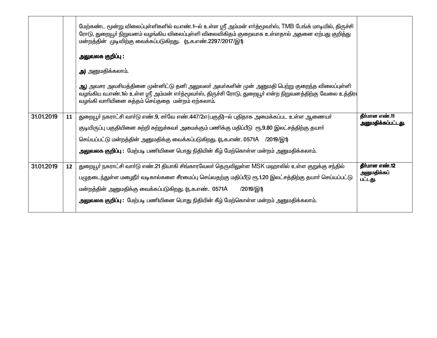|            |    | மேற்கண்ட மூன்று விலைப்புள்ளிகளில் வ.எண்.1—ல் உள்ள ஸ்ரீ அம்மன் எர்த்மூவர்ஸ், TMB பேங்க் மாடியில், திருச்சி<br>ரோடு, துறையூா் நிறுவனம் வழங்கிய விலைப்புள்ளி விலைவிகிதம் குறைவாக உள்ளதால் அதனை ஏற்பது குறித்து<br>மன்றத்தின் முடிவிற்கு வைக்கப்படுகிறது. (ந.க.எண்.2297/2017/இ1)            |                                      |
|------------|----|-----------------------------------------------------------------------------------------------------------------------------------------------------------------------------------------------------------------------------------------------------------------------------------------|--------------------------------------|
|            |    | அலுவலக குறிப்பு :                                                                                                                                                                                                                                                                       |                                      |
|            |    | அ) அனுமதிக்கலாம்.                                                                                                                                                                                                                                                                       |                                      |
|            |    | <mark>ஆ</mark> ) அவசர அவசியத்தினை முன்னிட்டு தனி அலுவலா் அவா்களின் முன் அனுமதி பெற்று குறைந்த விலைப்புள்ளி<br>வழங்கிய வ.எண்.1ல் உள்ள ஸ்ரீ அம்மன் எா்த்மூவா்ஸ், திருச்சி ரோடு, துறையூா் என்ற நிறுவனத்திற்கு வேலை உத்திர $\mathsf{I}$<br>வழங்கி வாரியினை சுத்தம் செய்ததை மன்றம் ஏற்கலாம். |                                      |
| 31.01.2019 | 11 | துறையூா் நகராட்சி வாா்டு எண்.9, சா்வே எண்.447/2எ(பகுதி)—ல் புதிதாக அமைக்கப்பட உள்ள ஆணையா்                                                                                                                                                                                               | தீர்மான எண்.11<br>அனுமதிக்கப்பட்டது. |
|            |    | குடியிருப்பு பகுதியினை சுற்றி சுற்றுச்சுவா் அமைக்கும் பணிக்கு மதிப்பீடு ரூ.9.80 இலட்சத்திற்கு தயாா்                                                                                                                                                                                     |                                      |
|            |    | செய்யப்பட்டு மன்றத்தின் அனுமதிக்கு வைக்கப்படுகிறது. (ந.க.எண். 0571A /2019/இ1)                                                                                                                                                                                                           |                                      |
|            |    | அலுவலக குறிப்பு : மேற்படி பணியினை பொது நிதியின் கீழ் மேற்கொள்ள மன்றம் அனுமதிக்கலாம்.                                                                                                                                                                                                    |                                      |
| 31.01.2019 | 12 | துறையூர் நகராட்சி வார்டு எண்.21 தியாகி சிங்காரவேலர் தெருவிலுள்ள MSK மஹாலில் உள்ள குறுக்கு சந்தில்                                                                                                                                                                                       | தீர்மான எண்.12<br>அனுமதிக்கப்        |
|            |    | பழுதடைந்துள்ள மழைநீா் வடிகால்களை சீரமைப்பு செய்வதற்கு மதிப்பீடு ரூ.1.20 இலட்சத்திற்கு தயாா் செய்யப்பட்டு                                                                                                                                                                                | பட்டது.                              |
|            |    | மன்றத்தின் அனுமதிக்கு வைக்கப்படுகிறது. (ந.க.எண். 0571A<br>/2019/இ1)                                                                                                                                                                                                                     |                                      |
|            |    | அலுவலக குறிப்பு : மேற்படி பணியினை பொது நிதியின் கீழ் மேற்கொள்ள மன்றம் அனுமதிக்கலாம்.                                                                                                                                                                                                    |                                      |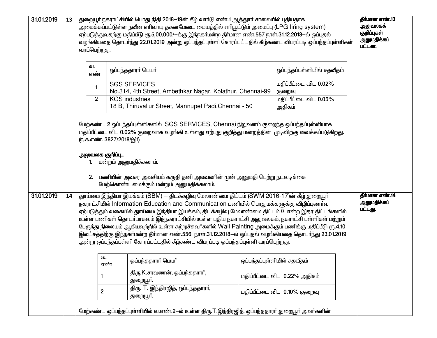| 31.01.2019 |    | 13                    |                                |                                                                                                                                                                                                                                                                                                                                                                                                                                                                                                                                                                                                                                                                                                                                                                                                                                                                                                                                  |                                                                                             |                                          |  |  | வரப்பெற்றது.<br>வ.<br>எண்<br>1<br>$\overline{2}$ |  | துறையூர் நகராட்சியில் பொது நிதி 2018–19ன் கீழ் வார்டு எண்.1 ஆத்துார் சாலையில் புதியதாக<br>அமைக்கப்பட்டுள்ள நவீன எரிவாயு தகனமேடை மையத்தில் எரியூட்டும் அமைப்பு (LPG firing system)<br>ஏற்படுத்துவதற்கு மதிப்பீடு ரூ.5,00,000/—க்கு இந்நகா்மன்ற தீா்மான எண்.557 நாள்.31.12.2018—ல் ஒப்புதல்<br>வழங்கியதை தொடர்ந்து 22.01.2019 அன்று ஒப்பந்தப்புள்ளி கோரப்பட்டதில் கீழ்கண்ட விபரப்படி ஒப்பந்தப்புள்ளிகள்<br>ஒப்பந்ததாரா் பெயா்<br><b>SGS SERVICES</b><br>No.314, 4th Street, Ambethkar Nagar, Kolathur, Chennai-99<br><b>KGS</b> industries<br>18 B, Thiruvallur Street, Mannupet Padi, Chennai - 50 | ஒப்பந்தப்புள்ளியில் சதவீதம்<br>மதிப்பீட்டை விட 0.02%<br>குறைவு<br>மதிப்பீட்டை விட 0.05% | தீர்மான எண்.13<br>அலுவலகக்<br>குறிப்புகள்<br>அனுமதிக்கப்<br>பட்டன. |
|------------|----|-----------------------|--------------------------------|----------------------------------------------------------------------------------------------------------------------------------------------------------------------------------------------------------------------------------------------------------------------------------------------------------------------------------------------------------------------------------------------------------------------------------------------------------------------------------------------------------------------------------------------------------------------------------------------------------------------------------------------------------------------------------------------------------------------------------------------------------------------------------------------------------------------------------------------------------------------------------------------------------------------------------|---------------------------------------------------------------------------------------------|------------------------------------------|--|--|--------------------------------------------------|--|---------------------------------------------------------------------------------------------------------------------------------------------------------------------------------------------------------------------------------------------------------------------------------------------------------------------------------------------------------------------------------------------------------------------------------------------------------------------------------------------------------------------------------------------------------------------------------------------------|-----------------------------------------------------------------------------------------|--------------------------------------------------------------------|
|            |    | அலுவலக குறிப்பு<br>2. | <u>ரு.க.எண். 3827/2018/இ1)</u> | மேற்கண்ட 2 ஒப்பந்தப்புள்ளிகளில் SGS SERVICES, Chennai நிறுவனம் குறைந்த ஒப்பந்தப்புள்ளியாக<br>மதிப்பீட்டை விட 0.02% குறைவாக வழங்கி உள்ளது ஏற்பது குறித்து மன்றத்தின்  முடிவிற்கு வைக்கப்படுகிறது.<br>மன்றம் அனுமதிக்கலாம்.<br>பணியின் அவசர அவசியம் கருதி தனி அலவலாின் முன் அனுமதி பெற்று நடவடிக்கை<br>மேற்கொண்டமைக்கும் மன்றம் அனுமதிக்கலாம்.                                                                                                                                                                                                                                                                                                                                                                                                                                                                                                                                                                                     | அதிகம்                                                                                      |                                          |  |  |                                                  |  |                                                                                                                                                                                                                                                                                                                                                                                                                                                                                                                                                                                                   |                                                                                         |                                                                    |
| 31.01.2019 | 14 | 1<br>$\mathbf 2$      | வ.<br>எண                       | துாய்மை இந்தியா இயக்கம் (SBM) — திடக்கழிவு மேலாண்மை திட்டம் (SWM 2016-17)ன் கீழ் துறையூர்<br>நகராட்சியில் Information Education and Communication பணியில் பொதுமக்களுக்கு விழிப்புணர்வு<br>ஏற்படுத்தும் வகையில் துாய்மை இந்தியா இயக்கம், திடக்கழிவு மேலாண்மை திட்டம் போன்ற இதர திட்டங்களில்<br>உள்ள பணிகள் தொடா்பாகவும் இந்நகராட்சியில் உள்ள புதிய நகராட்சி அலுவலகம், நகராட்சி பள்ளிகள் மற்றும்<br>பேருந்து நிலையம் ஆகியவற்றில் உள்ள சுற்றுச்சுவர்களில் Wall Painting அமைக்கும் பணிக்கு மதிப்பீடு ரூ.4.10<br>இலட்சத்திற்கு இந்நகா்மன்ற தீா்மான எண்.556 நாள்.31.12.2018-ல் ஒப்புதல் வழங்கியதை தொடா்ந்து 23.01.2019<br>அன்று ஒப்பந்தப்புள்ளி கோரப்பட்டதில் கீழ்கண்ட விபரப்படி ஒப்பந்தப்புள்ளி வரப்பெற்றது.<br>ஒப்பந்ததாரர் பெயர்<br>திரு.K.சரவணன், ஒப்பந்ததாரர்,<br>துறையூா்.<br>திரு. T. இந்திரஜித், ஒப்பந்ததாரா்,<br>துறையூர்.<br>மேற்கண்ட ஒப்பந்தப்புள்ளியில் வ.எண்.2—ல் உள்ள திரு.T.இந்திரஜித், ஒப்பந்ததாரா் துறையூா் அவா்களின் | ஒப்பந்தப்புள்ளியில் சதவீதம்<br>மதிப்பீட்டை விட 0.22% அதிகம்<br>மதிப்பீட்டை விட 0.10% குறைவு | தீர்மான எண்.14<br>அனுமதிக்கப்<br>பட்டது. |  |  |                                                  |  |                                                                                                                                                                                                                                                                                                                                                                                                                                                                                                                                                                                                   |                                                                                         |                                                                    |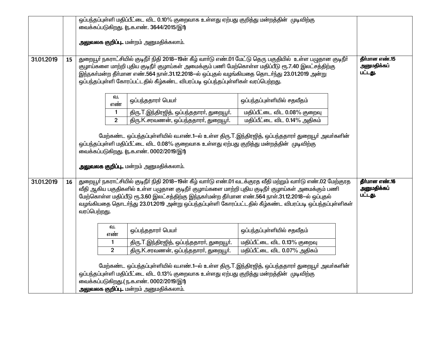|            |    | ஒப்பந்தப்புள்ளி மதிப்பீட்டை விட 0.10% குறைவாக உள்ளது ஏற்பது குறித்து மன்றத்தின் முடிவிற்கு |                                                                                                   |                                                                                                               |                |  |  |  |
|------------|----|--------------------------------------------------------------------------------------------|---------------------------------------------------------------------------------------------------|---------------------------------------------------------------------------------------------------------------|----------------|--|--|--|
|            |    | வைக்கப்படுகிறது. ரு.க.எண். 3644/2015/இ1)                                                   |                                                                                                   |                                                                                                               |                |  |  |  |
|            |    |                                                                                            |                                                                                                   |                                                                                                               |                |  |  |  |
|            |    |                                                                                            | <b>அலுவலக குறிப்பு</b> மன்றம் அனுமதிக்கலாம்.                                                      |                                                                                                               |                |  |  |  |
|            |    |                                                                                            |                                                                                                   |                                                                                                               |                |  |  |  |
| 31.01.2019 | 15 |                                                                                            |                                                                                                   | துறையூர் நகராட்சியில் குடிநீர் நிதி 2018–19ன் கீழ் வார்டு எண்.01 மேட்டு தெரு பகுதியில் உள்ள பழுதான குடிநீர்   | தீர்மான எண்.15 |  |  |  |
|            |    |                                                                                            | குழாய்களை மாற்றி புதிய குடிநீா் குழாய்கள் அமைக்கும் பணி மேற்கொள்ள மதிப்பீடு ரூ.7.40 இலட்சத்திற்கு |                                                                                                               | அனுமதிக்கப்    |  |  |  |
|            |    |                                                                                            | இந்நகர்மன்ற தீர்மான எண்.564 நாள்.31.12.2018-ல் ஒப்புதல் வழங்கியதை தொடர்ந்து 23.01.2019 அன்று      |                                                                                                               | பட்டது.        |  |  |  |
|            |    |                                                                                            | ஒப்பந்தப்புள்ளி கோரப்பட்டதில் கீழ்கண்ட விபரப்படி ஒப்பந்தப்புள்ளிகள் வரப்பெற்றது.                  |                                                                                                               |                |  |  |  |
|            |    |                                                                                            |                                                                                                   |                                                                                                               |                |  |  |  |
|            |    | வ.<br>எண்                                                                                  | ஒப்பந்ததாரர் பெயர்                                                                                | ஒப்பந்தப்புள்ளியில் சதவீதம்                                                                                   |                |  |  |  |
|            |    |                                                                                            |                                                                                                   |                                                                                                               |                |  |  |  |
|            |    | 1                                                                                          | திரு.T.இந்திரஜித், ஒப்பந்ததாரா், துறையூா்.                                                        | மதிப்பீட்டை விட 0.08% குறைவு                                                                                  |                |  |  |  |
|            |    | $\overline{2}$                                                                             | திரு.K.சரவணன், ஒப்பந்ததாரர், துறையூர்.                                                            | மதிப்பீட்டை விட 0.14% அதிகம்                                                                                  |                |  |  |  |
|            |    |                                                                                            |                                                                                                   |                                                                                                               |                |  |  |  |
|            |    |                                                                                            |                                                                                                   | மேற்கண்ட ஒப்பந்தப்புள்ளியில் வ.எண்.1—ல் உள்ள திரு.T.இந்திரஜித், ஒப்பந்ததாரா் துறையூா் அவா்களின்               |                |  |  |  |
|            |    |                                                                                            | ஒப்பந்தப்புள்ளி மதிப்பீட்டை விட 0.08% குறைவாக உள்ளது ஏற்பது குறித்து மன்றத்தின் முடிவிற்கு        |                                                                                                               |                |  |  |  |
|            |    |                                                                                            | வைக்கப்படுகிறது. ரு.க.எண். 0002/2019/இ1)                                                          |                                                                                                               |                |  |  |  |
|            |    |                                                                                            | <b>அலுவலக குறிப்பு</b> மன்றம் அனுமதிக்கலாம்.                                                      |                                                                                                               |                |  |  |  |
|            |    |                                                                                            |                                                                                                   |                                                                                                               |                |  |  |  |
| 31.01.2019 | 16 |                                                                                            |                                                                                                   | துறையூர் நகராட்சியில் குடிநீர் நிதி 2018–19ன் கீழ் வார்டு எண்.01 வடக்குரத வீதி மற்றும் வார்டு எண்.02 மேற்குரத | தீர்மான எண்.16 |  |  |  |
|            |    |                                                                                            | வீதி ஆகிய பகுதிகளில் உள்ள பழுதான குடிநீா் குழாய்களை மாற்றி புதிய குடிநீா் குழாய்கள் அமைக்கும் பணி |                                                                                                               | அனுமதிக்கப்    |  |  |  |
|            |    |                                                                                            | மேற்கொள்ள மதிப்பீடு ரூ.3.60 இலட்சத்திற்கு இந்நகா்மன்ற தீா்மான எண்.564 நாள்.31.12.2018-ல் ஒப்புதல் |                                                                                                               | பட்டது.        |  |  |  |
|            |    |                                                                                            |                                                                                                   | வழங்கியதை தொடர்ந்து 23.01.2019 அன்று ஒப்பந்தப்புள்ளி கோரப்பட்டதில் கீழ்கண்ட விபரப்படி ஒப்பந்தப்புள்ளிகள்      |                |  |  |  |
|            |    | வரப்பெற்றது.                                                                               |                                                                                                   |                                                                                                               |                |  |  |  |
|            |    |                                                                                            |                                                                                                   |                                                                                                               |                |  |  |  |
|            |    | வ.                                                                                         | ஒப்பந்ததாரா் பெயா்                                                                                | ஒப்பந்தப்புள்ளியில் சதவீதம்                                                                                   |                |  |  |  |
|            |    | எண்                                                                                        | திரு.T.இந்திரஜித், ஒப்பந்ததாரா், துறையூா்.                                                        | மதிப்பீட்டை விட 0.13% குறைவு                                                                                  |                |  |  |  |
|            |    | 1                                                                                          |                                                                                                   |                                                                                                               |                |  |  |  |
|            |    | $\overline{2}$<br>மதிப்பீட்டை விட 0.07% அதிகம்<br>திரு.K.சரவணன், ஒப்பந்ததாரா், துறையூா்.   |                                                                                                   |                                                                                                               |                |  |  |  |
|            |    |                                                                                            |                                                                                                   |                                                                                                               |                |  |  |  |
|            |    |                                                                                            |                                                                                                   | மேற்கண்ட ஒப்பந்தப்புள்ளியில் வ.எண்.1—ல் உள்ள திரு.T.இந்திரஜித், ஒப்பந்ததாரா் துறையூா் அவா்களின்               |                |  |  |  |
|            |    |                                                                                            | ஒப்பந்தப்புள்ளி மதிப்பீட்டை விட 0.13% குறைவாக உள்ளது ஏற்பது குறித்து மன்றத்தின் முடிவிற்கு        |                                                                                                               |                |  |  |  |
|            |    |                                                                                            | வைக்கப்படுகிறது.( ந.க.எண். 0002/2019/இ1)                                                          |                                                                                                               |                |  |  |  |
|            |    |                                                                                            | <b>அலுவலக குறிப்பு</b> மன்றம் அனுமதிக்கலாம்.                                                      |                                                                                                               |                |  |  |  |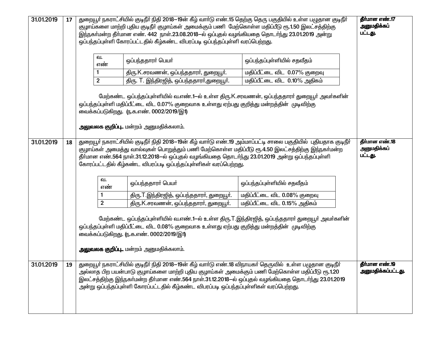| 31.01.2019 | 17 | துறையூா் நகராட்சியில் குடிநீா் நிதி 2018—19ன் கீழ் வாா்டு எண்.15 தெற்கு தெரு பகுதியில் உள்ள பழுதான குடிநீா்<br>குழாய்களை மாற்றி புதிய குடிநீா் குழாய்கள் அமைக்கும் பணி மேற்கொள்ள மதிப்பீடு ரூ.1.50 இலட்சத்திற்கு<br>இந்நகா்மன்ற தீா்மான எண். 442 நாள்.23.08.2018—ல் ஒப்புதல் வழங்கியதை தொடா்ந்து 23.01.2019 அன்று<br>ஒப்பந்தப்புள்ளி கோரப்பட்டதில் கீழ்கண்ட விபரப்படி ஒப்பந்தப்புள்ளி வரப்பெற்றது.                                     | தீர்மான எண்.17<br>அனுமதிக்கப்<br>பட்டது.                                                                                                                                                                                                                                              |                              |  |  |  |
|------------|----|----------------------------------------------------------------------------------------------------------------------------------------------------------------------------------------------------------------------------------------------------------------------------------------------------------------------------------------------------------------------------------------------------------------------------------------|---------------------------------------------------------------------------------------------------------------------------------------------------------------------------------------------------------------------------------------------------------------------------------------|------------------------------|--|--|--|
|            |    | வ.<br>எண்                                                                                                                                                                                                                                                                                                                                                                                                                              | ஒப்பந்ததாரா் பெயா்                                                                                                                                                                                                                                                                    | ஒப்பந்தப்புள்ளியில் சதவீதம்  |  |  |  |
|            |    |                                                                                                                                                                                                                                                                                                                                                                                                                                        | திரு.K.சரவணன், ஒப்பந்ததாரா், துறையூா்.                                                                                                                                                                                                                                                | மதிப்பீட்டை விட 0.07% குறைவு |  |  |  |
|            |    | $\overline{2}$                                                                                                                                                                                                                                                                                                                                                                                                                         | திரு. T. இந்திரஜித், ஒப்பந்ததாரர்,துறையூர்.                                                                                                                                                                                                                                           | மதிப்பீட்டை விட 0.10% அதிகம் |  |  |  |
|            |    |                                                                                                                                                                                                                                                                                                                                                                                                                                        | மேற்கண்ட ஒப்பந்தப்புள்ளியில் வ.எண்.1—ல் உள்ள திரு.K.சரவணன், ஒப்பந்ததாரா் துறையூா் அவா்களின்<br>ஒப்பந்தப்புள்ளி மதிப்பீட்டை விட 0.07% குறைவாக உள்ளது ஏற்பது குறித்து மன்றத்தின் முடிவிற்கு<br>வைக்கப்படுகிறது. (ந.க.எண். 0002/2019/இ1)<br><b>அலுவலக குறிப்பு</b> மன்றம் அனுமதிக்கலாம். |                              |  |  |  |
| 31.01.2019 | 18 | துறையூர் நகராட்சியில் குடிநீர் நிதி 2018–19ன் கீழ் வார்டு எண்.19 அம்மாப்பட்டி சாலை பகுதியில் புதியதாக குடிநீர்<br>தீர்மான எண்.18<br>அனுமதிக்கப்<br>குழாய்கள் அமைத்து வால்வுகள் பொறுத்தும் பணி மேற்கொள்ள மதிப்பீடு ரூ.4.50 இலட்சத்திற்கு இந்நகா்மன்ற<br>பட்டது.<br>தீா்மான எண்.564 நாள்.31.12.2018—ல் ஒப்புதல் வழங்கியதை தொடா்ந்து 23.01.2019 அன்று ஒப்பந்தப்புள்ளி<br>கோரப்பட்டதில் கீழ்கண்ட விபரப்படி ஒப்பந்தப்புள்ளிகள் வரப்பெற்றது. |                                                                                                                                                                                                                                                                                       |                              |  |  |  |
|            |    | வ.<br>எண்                                                                                                                                                                                                                                                                                                                                                                                                                              | ஒப்பந்ததாரா் பெயா்                                                                                                                                                                                                                                                                    | ஒப்பந்தப்புள்ளியில் சதவீதம்  |  |  |  |
|            |    | 1                                                                                                                                                                                                                                                                                                                                                                                                                                      | திரு.T.இந்திரஜித், ஒப்பந்ததாரா், துறையூா்.                                                                                                                                                                                                                                            | மதிப்பீட்டை விட 0.08% குறைவு |  |  |  |
|            |    | $\mathbf{2}$                                                                                                                                                                                                                                                                                                                                                                                                                           | திரு.K.சரவணன், ஒப்பந்ததாரா், துறையூா்.                                                                                                                                                                                                                                                | மதிப்பீட்டை விட 0.15% அதிகம் |  |  |  |
|            |    |                                                                                                                                                                                                                                                                                                                                                                                                                                        | மேற்கண்ட ஒப்பந்தப்புள்ளியில் வ.எண்.1—ல் உள்ள திரு.T.இந்திரஜித், ஒப்பந்ததாரா் துறையூா் அவா்களின்<br>ஒப்பந்தப்புள்ளி மதிப்பீட்டை விட 0.08% குறைவாக உள்ளது ஏற்பது குறித்து மன்றத்தின் முடிவிற்கு<br>வைக்கப்படுகிறது. ரு.க.எண். 0002/2019/இ1)<br>அலுவலக குறிப்பு மன்றம் அனுமதிக்கலாம்.    |                              |  |  |  |
| 31.01.2019 |    | துறையூர் நகராட்சியில் குடிநீர் நிதி 2018–19ன் கீழ் வார்டு எண்.18 விநாயகர் தெருவில் உள்ள பழுதான குடிநீர்<br>அல்லாத பிற பயன்பாடு குழாய்களை மாற்றி புதிய குழாய்கள் அமைக்கும் பணி மேற்கொள்ள மதிப்பீடு ரூ.1.20<br>இலட்சத்திற்கு இந்நகா்மன்ற தீா்மான எண்.564 நாள்.31.12.2018—ல் ஒப்புதல் வழங்கியதை தொடா்ந்து 23.01.2019<br>அன்று ஒப்பந்தப்புள்ளி கோரப்பட்டதில் கீழ்கண்ட விபரப்படி ஒப்பந்தப்புள்ளிகள் வரப்பெற்றது.                            | தாமான எண.19<br>அனுமதிக்கப்பட்டது.                                                                                                                                                                                                                                                     |                              |  |  |  |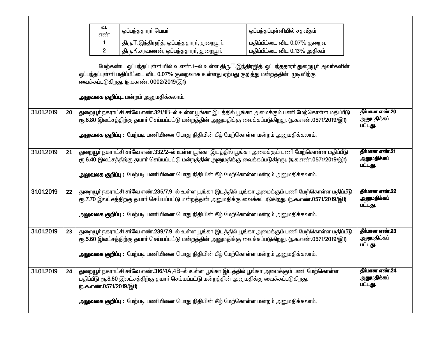|            |    | வ.<br>ஒப்பந்ததாரா் பெயா்<br>ஒப்பந்தப்புள்ளியில் சதவீதம்<br>எண்<br>மதிப்பீட்டை விட 0.07% குறைவு<br>திரு.T.இந்திரஜித், ஒப்பந்ததாரா், துறையூா்.<br>1<br>மதிப்பீட்டை விட 0.13% அதிகம்<br>$\overline{2}$<br>திரு.K.சரவணன், ஒப்பந்ததாரா், துறையூா்.<br>மேற்கண்ட ஒப்பந்தப்புள்ளியில் வ.எண்.1—ல் உள்ள திரு.T.இந்திரஜித், ஒப்பந்ததாரா் துறையூா் அவா்களின்<br>ஒப்பந்தப்புள்ளி மதிப்பீட்டை விட 0.07% குறைவாக உள்ளது ஏற்பது குறித்து மன்றத்தின் முடிவிற்கு<br>வைக்கப்படுகிறது. ரு.க.எண். 0002/2019/இ1)<br>அலுவலக குறிப்பு மன்றம் அனுமதிக்கலாம். |                                          |
|------------|----|-------------------------------------------------------------------------------------------------------------------------------------------------------------------------------------------------------------------------------------------------------------------------------------------------------------------------------------------------------------------------------------------------------------------------------------------------------------------------------------------------------------------------------------|------------------------------------------|
| 31.01.2019 | 20 | துறையூா் நகராட்சி சா்வே எண்.321/1B–ல் உள்ள பூங்கா இடத்தில் பூங்கா அமைக்கும் பணி மேற்கொள்ள மதிப்பீடு<br>ரூ.6.80 இலட்சத்திற்கு தயாா் செய்யப்பட்டு மன்றத்தின் அனுமதிக்கு வைக்கப்படுகிறது. (ந.க.எண்.0571/2019/இ1)<br>அலுவலக குறிப்பு : மேற்படி பணியினை பொது நிதியின் கீழ் மேற்கொள்ள மன்றம் அனுமதிக்கலாம்.                                                                                                                                                                                                                               | தீர்மான எண்.20<br>அனுமதிக்கப்<br>பட்டது. |
| 31.01.2019 | 21 | துறையூா் நகராட்சி சா்வே எண்.332/2-ல் உள்ள பூங்கா இடத்தில் பூங்கா அமைக்கும் பணி மேற்கொள்ள மதிப்பீடு<br>ரூ.6.40 இலட்சத்திற்கு தயாா் செய்யப்பட்டு மன்றத்தின் அனுமதிக்கு வைக்கப்படுகிறது. ரு.க.எண்.0571/2019/இ1)<br><mark>அலுவலக குறிப்பு :</mark> மேற்படி பணியினை பொது நிதியின் கீழ் மேற்கொள்ள மன்றம் அனுமதிக்கலாம்.                                                                                                                                                                                                                   | தீர்மான எண்.21<br>அனுமதிக்கப்<br>பட்டது. |
| 31.01.2019 | 22 | துறையூா் நகராட்சி சா்வே எண்.235/7,9-ல் உள்ள பூங்கா இடத்தில் பூங்கா அமைக்கும் பணி மேற்கொள்ள மதிப்பீடு<br>ரூ.7.70 இலட்சத்திற்கு தயாா் செய்யப்பட்டு மன்றத்தின் அனுமதிக்கு வைக்கப்படுகிறது. (ந.க.எண்.0571/2019/இ1)<br>அலுவலக குறிப்பு : மேற்படி பணியினை பொது நிதியின் கீழ் மேற்கொள்ள மன்றம் அனுமதிக்கலாம்.                                                                                                                                                                                                                              | தீர்மான எண்.22<br>அனுமதிக்கப்<br>பட்டது. |
| 31.01.2019 | 23 | துறையூா் நகராட்சி சா்வே எண்.239/7,9-ல் உள்ள பூங்கா இடத்தில் பூங்கா அமைக்கும் பணி மேற்கொள்ள மதிப்பீடு<br>ரூ.5.60 இலட்சத்திற்கு தயாா் செய்யப்பட்டு மன்றத்தின் அனுமதிக்கு வைக்கப்படுகிறது. (ந.க.எண்.0571/2019/இ1)<br><mark>அலுவலக குறிப்பு</mark> : மேற்படி பணியினை பொது நிதியின் கீழ் மேற்கொள்ள மன்றம் அனுமதிக்கலாம்.                                                                                                                                                                                                                 | தீர்மான எண்.23<br>அனுமதிக்கப்<br>பட்டது. |
| 31.01.2019 | 24 | துறையூர் நகராட்சி சா்வே எண்.316/4A,4B–ல் உள்ள பூங்கா இடத்தில் பூங்கா அமைக்கும் பணி மேற்கொள்ள<br>மதிப்பீடு ரூ.8.60 இலட்சத்திற்கு தயாா் செய்யப்பட்டு மன்றத்தின் அனுமதிக்கு வைக்கப்படுகிறது.<br>ரு.க.எண்.0571/2019/இ1)<br>அலுவலக குறிப்பு : மேற்படி பணியினை பொது நிதியின் கீழ் மேற்கொள்ள மன்றம் அனுமதிக்கலாம்.                                                                                                                                                                                                                         | தீர்மான எண்.24<br>அனுமதிக்கப்<br>பட்டது. |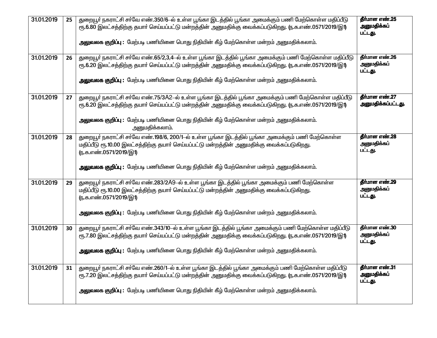| 31.01.2019 | 25 | துறையூர் நகராட்சி சர்வே எண்.350/6-ல் உள்ள பூங்கா இடத்தில் பூங்கா அமைக்கும் பணி மேற்கொள்ள மதிப்பீடு<br>ரூ.6.80 இலட்சத்திற்கு தயாா் செய்யப்பட்டு மன்றத்தின் அனுமதிக்கு வைக்கப்படுகிறது. (ந.க.எண்.0571/2019/இ1)<br>அலுவலக குறிப்பு : மேற்படி பணியினை பொது நிதியின் கீழ் மேற்கொள்ள மன்றம் அனுமதிக்கலாம்.                    | தீர்மான எண்.25<br>அனுமதிக்கப்<br>பட்டது. |
|------------|----|-------------------------------------------------------------------------------------------------------------------------------------------------------------------------------------------------------------------------------------------------------------------------------------------------------------------------|------------------------------------------|
| 31.01.2019 | 26 | துறையூா் நகராட்சி சா்வே எண்.65/2,3,4—ல் உள்ள பூங்கா இடத்தில் பூங்கா அமைக்கும் பணி மேற்கொள்ள மதிப்பீடு<br>ரூ.6.20 இலட்சத்திற்கு தயாா் செய்யப்பட்டு மன்றத்தின் அனுமதிக்கு வைக்கப்படுகிறது. (ந.க.எண்.0571/2019/இ1)<br>அலுவலக குறிப்பு : மேற்படி பணியினை பொது நிதியின் கீழ் மேற்கொள்ள மன்றம் அனுமதிக்கலாம்.                 | தீர்மான எண்.26<br>அனுமதிக்கப்<br>பட்டது. |
| 31.01.2019 | 27 | துறையூா் நகராட்சி சா்வே எண்.75/3A2–ல் உள்ள பூங்கா இடத்தில் பூங்கா அமைக்கும் பணி மேற்கொள்ள மதிப்பீடு<br>ரூ.6.20 இலட்சத்திற்கு தயாா் செய்யப்பட்டு மன்றத்தின் அனுமதிக்கு வைக்கப்படுகிறது. (ந.க.எண்.0571/2019/இ1)<br>அலுவலக குறிப்பு : மேற்படி பணியினை பொது நிதியின் கீழ் மேற்கொள்ள மன்றம் அனுமதிக்கலாம்.<br>அனுமதிக்கலாம். | தீர்மான எண்.27<br>அனுமதிக்கப்பட்டது.     |
| 31.01.2019 | 28 | துறையூா் நகராட்சி சா்வே எண்.198/6, 200/1-ல் உள்ள பூங்கா இடத்தில் பூங்கா அமைக்கும் பணி மேற்கொள்ள<br>மதிப்பீடு ரூ.10.00 இலட்சத்திற்கு தயார் செய்யப்பட்டு மன்றத்தின் அனுமதிக்கு வைக்கப்படுகிறது.<br>ரு.க.எண்.0571/2019/இ1)<br>அலுவலக குறிப்பு : மேற்படி பணியினை பொது நிதியின் கீழ் மேற்கொள்ள மன்றம் அனுமதிக்கலாம்.         | தீர்மான எண்.28<br>அனுமதிக்கப்<br>பட்டது. |
| 31.01.2019 | 29 | துறையூா் நகராட்சி சா்வே எண்.283/2A9-ல் உள்ள பூங்கா இடத்தில் பூங்கா அமைக்கும் பணி மேற்கொள்ள<br>மதிப்பீடு ரூ.10.00 இலட்சத்திற்கு தயார் செய்யப்பட்டு மன்றத்தின் அனுமதிக்கு வைக்கப்படுகிறது.<br>ரு.க.எண்.0571/2019/இ1)<br>அலுவலக குறிப்பு : மேற்படி பணியினை பொது நிதியின் கீழ் மேற்கொள்ள மன்றம் அனுமதிக்கலாம்.              | தீர்மான எண்.29<br>அனுமதிக்கப்<br>பட்டது. |
| 31.01.2019 | 30 | துறையூா் நகராட்சி சா்வே எண்.343/10-ல் உள்ள பூங்கா இடத்தில் பூங்கா அமைக்கும் பணி மேற்கொள்ள மதிப்பீடு<br>ரூ.7.80 இலட்சத்திற்கு தயாா் செய்யப்பட்டு மன்றத்தின் அனுமதிக்கு வைக்கப்படுகிறது. (ந.க.எண்.0571/2019/இ1)<br><mark>அலுவலக குறிப்பு</mark> : மேற்படி பணியினை பொது நிதியின் கீழ் மேற்கொள்ள மன்றம் அனுமதிக்கலாம்.      | தீர்மான எண்.30<br>அனுமதிக்கப்<br>பட்டது. |
| 31.01.2019 | 31 | துறையூா் நகராட்சி சா்வே எண்.260/1–ல் உள்ள பூங்கா இடத்தில் பூங்கா அமைக்கும் பணி மேற்கொள்ள மதிப்பீடு<br>ரூ.7.20 இலட்சத்திற்கு தயாா் செய்யப்பட்டு மன்றத்தின் அனுமதிக்கு வைக்கப்படுகிறது. (ந.க.எண்.0571/2019/இ1)<br>அலுவலக குறிப்பு : மேற்படி பணியினை பொது நிதியின் கீழ் மேற்கொள்ள மன்றம் அனுமதிக்கலாம்.                    | தீர்மான எண்.31<br>அனுமதிக்கப்<br>பட்டது. |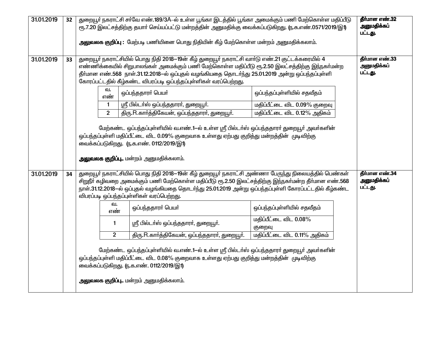| 31.01.2019 | 32 | துறையூா் நகராட்சி சா்வே எண்.189/3A–ல் உள்ள பூங்கா இடத்தில் பூங்கா அமைக்கும் பணி மேற்கொள்ள மதிப்பீடு<br>ரூ.7.20 இலட்சத்திற்கு தயாா் செய்யப்பட்டு மன்றத்தின் அனுமதிக்கு வைக்கப்படுகிறது.            ரூ.க.எண்.0571/2019/இ1)<br>அலுவலக குறிப்பு : மேற்படி பணியினை பொது நிதியின் கீழ் மேற்கொள்ள மன்றம் அனுமதிக்கலாம்.                                                                                                                                                                                                                                                                                                                                           | தீர்மான எண்.32<br>அனுமதிக்கப்<br>பட்டது. |                                                                                         |                                                              |  |  |  |
|------------|----|------------------------------------------------------------------------------------------------------------------------------------------------------------------------------------------------------------------------------------------------------------------------------------------------------------------------------------------------------------------------------------------------------------------------------------------------------------------------------------------------------------------------------------------------------------------------------------------------------------------------------------------------------------|------------------------------------------|-----------------------------------------------------------------------------------------|--------------------------------------------------------------|--|--|--|
| 31.01.2019 | 33 | துறையூர் நகராட்சியில் பொது நிதி 2018–19ன் கீழ் துறையூர் நகராட்சி வார்டு எண்.21 குட்டக்கரையில் 4<br>எண்ணிக்கையில் சிறுபாலங்கள் அமைக்கும் பணி மேற்கொள்ள மதிப்பீடு ரூ.2.50 இலட்சத்திற்கு இந்நகா்மன்ற<br>தீர்மான எண்.568 நாள்.31.12.2018—ல் ஒப்புதல் வழங்கியதை தொடர்ந்து 25.01.2019 அன்று ஒப்பந்தப்புள்ளி<br>கோரப்பட்டதில் கீழ்கண்ட விபரப்படி ஒப்பந்தப்புள்ளிகள் வரப்பெற்றது.<br>ഖ.                                                                                                                                                                                                                                                                            | தீர்மான எண்.33<br>அனுமதிக்கப்<br>பட்டது. |                                                                                         |                                                              |  |  |  |
|            |    |                                                                                                                                                                                                                                                                                                                                                                                                                                                                                                                                                                                                                                                            | எண்                                      | ஒப்பந்ததாரா் பெயா்                                                                      | ஒப்பந்தப்புள்ளியில் சதவீதம்                                  |  |  |  |
|            |    |                                                                                                                                                                                                                                                                                                                                                                                                                                                                                                                                                                                                                                                            | $\mathbf{1}$<br>$\overline{2}$           | ஸ்ரீ பில்டா்ஸ் ஒப்பந்ததாரா், துறையூா்.<br>திரு.R.கார்த்திகேயன், ஒப்பந்ததாரர், துறையூர். | மதிப்பீட்டை விட 0.09% குறைவு<br>மதிப்பீட்டை விட 0.12% அதிகம் |  |  |  |
| 31.01.2019 | 34 | மேற்கண்ட ஒப்பந்தப்புள்ளியில் வ.எண்.1—ல் உள்ள ஸ்ரீ பில்டா்ஸ் ஒப்பந்ததாரா் துறையூா் அவா்களின்<br>ஒப்பந்தப்புள்ளி மதிப்பீட்டை விட 0.09% குறைவாக உள்ளது ஏற்பது குறித்து மன்றத்தின் முடிவிற்கு<br>வைக்கப்படுகிறது. ரு.க.எண். 0112/2019/இ1)<br><b>அலுவலக குறிப்பு</b> மன்றம் அனுமதிக்கலாம்.<br>துறையூர் நகராட்சியில் பொது நிதி 2018–19ன் கீழ் துறையூர் நகராட்சி அண்ணா பேருந்து நிலையத்தில் பெண்கள்<br>தீர்மான எண்.34<br>அனுமதிக்கப்<br>சிறுநீா் கழிவறை அமைக்கும் பணி மேற்கொள்ள மதிப்பீடு ரூ.2.50 இலட்சத்திற்கு இந்நகா்மன்ற தீா்மான எண்.568<br>பட்டது.<br>நாள்.31.12.2018-ல் ஒப்புதல் வழங்கியதை தொடர்ந்து 25.01.2019 அன்று ஒப்பந்தப்புள்ளி கோரப்பட்டதில் கீழ்கண்ட |                                          |                                                                                         |                                                              |  |  |  |
|            |    |                                                                                                                                                                                                                                                                                                                                                                                                                                                                                                                                                                                                                                                            | வ.                                       | விபரப்படி ஒப்பந்தப்புள்ளிகள் வரப்பெற்றது.                                               |                                                              |  |  |  |
|            |    |                                                                                                                                                                                                                                                                                                                                                                                                                                                                                                                                                                                                                                                            | எண்                                      | ஒப்பந்ததாரா் பெயா்                                                                      | ஒப்பந்தப்புள்ளியில் சதவீதம்                                  |  |  |  |
|            |    |                                                                                                                                                                                                                                                                                                                                                                                                                                                                                                                                                                                                                                                            | $\mathbf{1}$                             | ஸ்ரீ பில்டா்ஸ் ஒப்பந்ததாரா், துறையூா்.                                                  | மதிப்பீட்டை விட 0.08%<br>குறைவு                              |  |  |  |
|            |    |                                                                                                                                                                                                                                                                                                                                                                                                                                                                                                                                                                                                                                                            |                                          |                                                                                         |                                                              |  |  |  |
|            |    | மேற்கண்ட ஒப்பந்தப்புள்ளியில் வ.எண்.1—ல் உள்ள ஸ்ரீ பில்டா்ஸ் ஒப்பந்ததாரா் துறையூா் அவா்களின்<br>ஒப்பந்தப்புள்ளி மதிப்பீட்டை விட 0.08% குறைவாக உள்ளது ஏற்பது குறித்து மன்றத்தின் முடிவிற்கு<br>வைக்கப்படுகிறது. ரு.க.எண். 0112/2019/இ1)<br><b>அலுவலக குறிப்பு</b> மன்றம் அனுமதிக்கலாம்.                                                                                                                                                                                                                                                                                                                                                                      |                                          |                                                                                         |                                                              |  |  |  |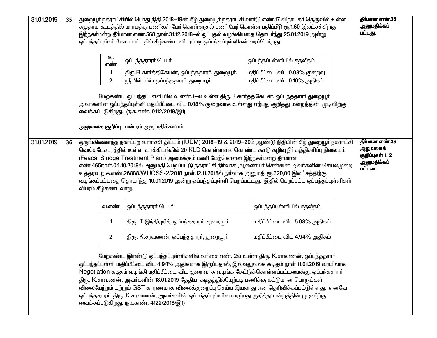| 31.01.2019 | 35                                                                                                                                                                                                                                                                                                                                                                                                                                                                                                                                                                                                                                                                                                                             | துறையூா் நகராட்சியில் பொது நிதி 2018—19ன் கீழ் துறையூா் நகராட்சி வாா்டு எண்.17 விநாயகா் தெருவில் உள்ள<br>தீர்மான எண்.35<br>அனுமதிக்கப்<br>சமுதாய கூடத்தில் மராமத்து பணிகள் மேற்கொள்ளுதல் பணி மேற்கொள்ள மதிப்பீடு ரூ.1.60 இலட்சத்திற்கு<br>பட்டது.<br>இந்நகர்மன்ற தீர்மான எண்.568 நாள்.31.12.2018—ல் ஒப்புதல் வழங்கியதை தொடர்ந்து 25.01.2019 அன்று<br>ஒப்பந்தப்புள்ளி கோரப்பட்டதில் கீழ்கண்ட விபரப்படி ஒப்பந்தப்புள்ளிகள் வரப்பெற்றது. |                |                                                                                                                                                                                                                                                                                                                                                                                                                                                                                                                                                                                                                                       |                              |  |  |  |  |
|------------|--------------------------------------------------------------------------------------------------------------------------------------------------------------------------------------------------------------------------------------------------------------------------------------------------------------------------------------------------------------------------------------------------------------------------------------------------------------------------------------------------------------------------------------------------------------------------------------------------------------------------------------------------------------------------------------------------------------------------------|---------------------------------------------------------------------------------------------------------------------------------------------------------------------------------------------------------------------------------------------------------------------------------------------------------------------------------------------------------------------------------------------------------------------------------------|----------------|---------------------------------------------------------------------------------------------------------------------------------------------------------------------------------------------------------------------------------------------------------------------------------------------------------------------------------------------------------------------------------------------------------------------------------------------------------------------------------------------------------------------------------------------------------------------------------------------------------------------------------------|------------------------------|--|--|--|--|
|            |                                                                                                                                                                                                                                                                                                                                                                                                                                                                                                                                                                                                                                                                                                                                |                                                                                                                                                                                                                                                                                                                                                                                                                                       | வ.<br>எண்      | ஒப்பந்ததாரர் பெயர்                                                                                                                                                                                                                                                                                                                                                                                                                                                                                                                                                                                                                    | ஒப்பந்தப்புள்ளியில் சதவீதம்  |  |  |  |  |
|            |                                                                                                                                                                                                                                                                                                                                                                                                                                                                                                                                                                                                                                                                                                                                |                                                                                                                                                                                                                                                                                                                                                                                                                                       | 1              | திரு.R.கார்த்திகேயன், ஒப்பந்ததாரர், துறையூர்.                                                                                                                                                                                                                                                                                                                                                                                                                                                                                                                                                                                         | மதிப்பீட்டை விட 0.08% குறைவு |  |  |  |  |
|            |                                                                                                                                                                                                                                                                                                                                                                                                                                                                                                                                                                                                                                                                                                                                |                                                                                                                                                                                                                                                                                                                                                                                                                                       | $\overline{2}$ | ஸ்ரீ பில்டா்ஸ் ஒப்பந்ததாரா், துறையூா்.                                                                                                                                                                                                                                                                                                                                                                                                                                                                                                                                                                                                | மதிப்பீட்டை விட 0.10% அதிகம் |  |  |  |  |
|            |                                                                                                                                                                                                                                                                                                                                                                                                                                                                                                                                                                                                                                                                                                                                |                                                                                                                                                                                                                                                                                                                                                                                                                                       |                | மேற்கண்ட ஒப்பந்தப்புள்ளியில் வ.எண்.1-ல் உள்ள திரு.R.கார்த்திகேயன், ஒப்பந்ததாரர் துறையூர்<br>அவா்களின் ஒப்பந்தப்புள்ளி மதிப்பீட்டை விட 0.08% குறைவாக உள்ளது ஏற்பது குறித்து மன்றத்தின் முடிவிற்கு<br>வைக்கப்படுகிறது. (ந.க.எண். 0112/2019/இ1)<br>அலுவலக குறிப்பு மன்றம் அனுமதிக்கலாம்.                                                                                                                                                                                                                                                                                                                                                 |                              |  |  |  |  |
|            | தீர்மான எண்.36<br>31.01.2019<br>ஒருங்கிணைந்த நகர்ப்புற வளர்ச்சி திட்டம் (IUDM) 2018–19 & 2019–20ம் ஆண்டு நிதியின் கீழ் துறையூர் நகராட்சி<br>36<br>அலுவலகக்<br>வெங்கடேசபுரத்தில் உள்ள உரக்கிடங்கில் 20 KLD கொள்ளளவு கொண்ட கசடு கழிவு நீர் சுத்திகரிப்பு நிலையம்<br>குறிப்புகள் 1, 2<br>(Feacal Sludge Treatment Plant) அமைக்கும் பணி மேற்கொள்ள இந்நகர்மன்ற தீர்மான<br>அனுமதிக்கப்<br>எண்.465நாள்.04.10.2018ல் அனுமதி பெறப்பட்டு நகராட்சி நிா்வாக ஆணையா் சென்னை அவா்களின் செயல்முறை<br>பட்டன.<br>உத்தரவு ந.க.எண்.26888/WUGSS-2/2018 நாள்.12.11.2018ல் நிர்வாக அனுமதி ரூ.320,00 இலட்சத்திற்கு<br>வழங்கப்பட்டதை தொடர்ந்து 10.01.2019 அன்று ஒப்பந்தப்புள்ளி பெறப்பட்டது. இதில் பெறப்பட்ட ஒப்பந்தப்புள்ளிகள்<br>விபரம் கீழ்கண்டவாறு. |                                                                                                                                                                                                                                                                                                                                                                                                                                       |                |                                                                                                                                                                                                                                                                                                                                                                                                                                                                                                                                                                                                                                       |                              |  |  |  |  |
|            |                                                                                                                                                                                                                                                                                                                                                                                                                                                                                                                                                                                                                                                                                                                                |                                                                                                                                                                                                                                                                                                                                                                                                                                       | வ.எண்          | ஒப்பந்ததாரா் பெயா்                                                                                                                                                                                                                                                                                                                                                                                                                                                                                                                                                                                                                    | ஒப்பந்தப்புள்ளியில் சதவீதம்  |  |  |  |  |
|            |                                                                                                                                                                                                                                                                                                                                                                                                                                                                                                                                                                                                                                                                                                                                |                                                                                                                                                                                                                                                                                                                                                                                                                                       | 1              | திரு. T.இந்திரஜித், ஒப்பந்ததாரா், துறையூா்.                                                                                                                                                                                                                                                                                                                                                                                                                                                                                                                                                                                           | மதிப்பீட்டை விட 5.08% அதிகம் |  |  |  |  |
|            |                                                                                                                                                                                                                                                                                                                                                                                                                                                                                                                                                                                                                                                                                                                                |                                                                                                                                                                                                                                                                                                                                                                                                                                       | $\overline{2}$ | திரு. K.சரவணன், ஒப்பந்ததாரா், துறையூா்.                                                                                                                                                                                                                                                                                                                                                                                                                                                                                                                                                                                               | மதிப்பீட்டை விட 4.94% அதிகம் |  |  |  |  |
|            |                                                                                                                                                                                                                                                                                                                                                                                                                                                                                                                                                                                                                                                                                                                                |                                                                                                                                                                                                                                                                                                                                                                                                                                       |                | மேற்கண்ட இரண்டு ஒப்பந்தப்புள்ளிகளில் வரிசை எண். 2ல் உள்ள திரு. K.சரவணன், ஒப்பந்ததாரர்<br>ஒப்பந்தப்புள்ளி மதிப்பீட்டை விட 4.94% அதிகமாக இருப்பதால், இவ்வலுவலக கடிதம் நாள் 11.01.2019 வாயிலாக<br>Negotiation கடிதம் வழங்கி மதிப்பீட்டை விட குறைவாக வழங்க கேட்டுக்கொள்ளப்பட்டமைக்கு, ஒப்பந்ததாரர்<br>திரு. K.சரவணன், அவர்களின் 18.01.2019 தேதிய கடிதத்தில்மேற்படி பணிக்கு கட்டுமான பொருட்கள்<br>விலையேற்றம் மற்றும் GST காரணமாக விலைக்குறைப்பு செய்ய இயலாது என தெரிவிக்கப்பட்டுள்ளது. எனவே<br>ஒப்பந்ததாரா் திரு. K.சரவணன், அவா்களின் ஒப்பந்தப்புள்ளியை ஏற்பது குறித்து மன்றத்தின் முடிவிற்கு<br>வைக்கப்படுகிறது. (ந.க.எண். 4122/2018/இ1) |                              |  |  |  |  |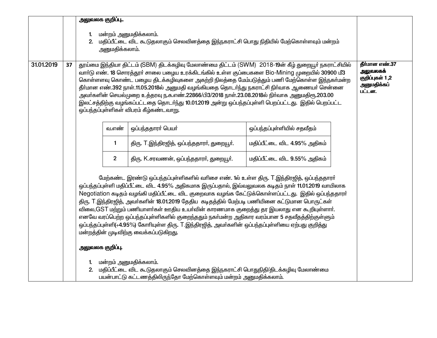|            |                                                                                                                                                                                                                                                                                                                                                                                                                                                                                                                                                                                                                                                         | அலுவலக குறிப்பு                                                                                                                                                                                                                                                                                                                                                                                                                                                                                                                                                                                                                                                                                                                                |                                                                                       |                                                                                                                                                                                 |                              |  |  |  |  |
|------------|---------------------------------------------------------------------------------------------------------------------------------------------------------------------------------------------------------------------------------------------------------------------------------------------------------------------------------------------------------------------------------------------------------------------------------------------------------------------------------------------------------------------------------------------------------------------------------------------------------------------------------------------------------|------------------------------------------------------------------------------------------------------------------------------------------------------------------------------------------------------------------------------------------------------------------------------------------------------------------------------------------------------------------------------------------------------------------------------------------------------------------------------------------------------------------------------------------------------------------------------------------------------------------------------------------------------------------------------------------------------------------------------------------------|---------------------------------------------------------------------------------------|---------------------------------------------------------------------------------------------------------------------------------------------------------------------------------|------------------------------|--|--|--|--|
|            |                                                                                                                                                                                                                                                                                                                                                                                                                                                                                                                                                                                                                                                         | மன்றம் அனுமதிக்கலாம்.<br>2.<br>அனுமதிக்கலாம்.                                                                                                                                                                                                                                                                                                                                                                                                                                                                                                                                                                                                                                                                                                  | மதிப்பீட்டை விட கூடுதலாகும் செலவினத்தை இந்நகராட்சி பொது நிதியில் மேற்கொள்ளவும் மன்றம் |                                                                                                                                                                                 |                              |  |  |  |  |
| 31.01.2019 | தூய்மை இந்தியா திட்டம் (SBM) திடக்கழிவு மேலாண்மை திட்டம் (SWM) 2018-19ன் கீழ் துறையூர் நகராட்சியில்<br>37<br>வார்டு எண். 18 சொரத்தூர் சாலை பழைய உரக்கிடங்கில் உள்ள குப்பைகளை Bio-Mining முறையில் 30900 மீ3<br>கொள்ளளவு கொண்ட பழைய திடக்கழிவுகளை அகற்றி நிலத்தை மேம்படுத்தும் பணி மேற்கொள்ள இந்நகா்மன்ற<br>தீா்மான எண்.392 நாள்.11.05.2018ல் அனுமதி வழங்கியதை தொடா்ந்து நகராட்சி நிா்வாக ஆணையா் சென்னை<br>அவா்களின் செயல்முறை உத்தரவு ந.க.எண்.22866/பி3/2018 நாள்.23.08.2018ல் நிா்வாக அனுமதிரூ.203.00<br>இலட்சத்திற்கு வழங்கப்பட்டதை தொடர்ந்து 10.01.2019 அன்று ஒப்பந்தப்புள்ளி பெறப்பட்டது. இதில் பெறப்பட்ட<br>ஒப்பந்தப்புள்ளிகள் விபரம் கீழ்கண்டவாறு. |                                                                                                                                                                                                                                                                                                                                                                                                                                                                                                                                                                                                                                                                                                                                                |                                                                                       |                                                                                                                                                                                 |                              |  |  |  |  |
|            |                                                                                                                                                                                                                                                                                                                                                                                                                                                                                                                                                                                                                                                         |                                                                                                                                                                                                                                                                                                                                                                                                                                                                                                                                                                                                                                                                                                                                                | வ.எண்                                                                                 | ஒப்பந்ததாரர் பெயர்                                                                                                                                                              | ஒப்பந்தப்புள்ளியில் சதவீதம்  |  |  |  |  |
|            |                                                                                                                                                                                                                                                                                                                                                                                                                                                                                                                                                                                                                                                         |                                                                                                                                                                                                                                                                                                                                                                                                                                                                                                                                                                                                                                                                                                                                                | 1                                                                                     | திரு. T.இந்திரஜித், ஒப்பந்ததாரா், துறையூா்.                                                                                                                                     | மதிப்பீட்டை விட 4.95% அதிகம் |  |  |  |  |
|            |                                                                                                                                                                                                                                                                                                                                                                                                                                                                                                                                                                                                                                                         |                                                                                                                                                                                                                                                                                                                                                                                                                                                                                                                                                                                                                                                                                                                                                | $\overline{2}$                                                                        | திரு. K.சரவணன், ஒப்பந்ததாரா், துறையூா்.                                                                                                                                         | மதிப்பீட்டை விட 9.55% அதிகம் |  |  |  |  |
|            |                                                                                                                                                                                                                                                                                                                                                                                                                                                                                                                                                                                                                                                         | மேற்கண்ட இரண்டு ஒப்பந்தப்புள்ளிகளில் வரிசை எண். 1ல் உள்ள திரு. T.இந்திரஜித், ஒப்பந்ததாரர்<br>ஒப்பந்தப்புள்ளி மதிப்பீட்டை விட 4.95% அதிகமாக இருப்பதால், இவ்வலுவலக கடிதம் நாள் 11.01.2019 வாயிலாக<br>Negotiation கடிதம் வழங்கி மதிப்பீட்டை விட குறைவாக வழங்க கேட்டுக்கொள்ளப்பட்டது. இதில் ஒப்பந்ததாரர்<br>திரு. T.இந்திரஜித், அவர்களின் 18.01.2019 தேதிய கடிதத்தில் மேற்படி பணியினை கட்டுமான பொருட்கள்<br>விலை,GST மற்றும் பணியாளர்கள் ஊதிய உயர்வின் காரணமாக குறைத்து தர இயலாது என கூறியுள்ளார்.<br>எனவே வரப்பெற்ற ஒப்பந்தப்புள்ளிகளில் குறைந்ததும் நகா்மன்ற அதிகார வரம்பான 5 சதவீதத்திற்குள்ளும்<br>ஒப்பந்தப்புள்ளி(+4.95%) கோரியுள்ள திரு. T.இந்திரஜித், அவர்களின் ஒப்பந்தப்புள்ளியை ஏற்பது குறித்து<br>மன்றத்தின் முடிவிற்கு வைக்கப்படுகிறது. |                                                                                       |                                                                                                                                                                                 |                              |  |  |  |  |
|            |                                                                                                                                                                                                                                                                                                                                                                                                                                                                                                                                                                                                                                                         | அலுவலக குறிப்பு.                                                                                                                                                                                                                                                                                                                                                                                                                                                                                                                                                                                                                                                                                                                               |                                                                                       |                                                                                                                                                                                 |                              |  |  |  |  |
|            |                                                                                                                                                                                                                                                                                                                                                                                                                                                                                                                                                                                                                                                         | 1.                                                                                                                                                                                                                                                                                                                                                                                                                                                                                                                                                                                                                                                                                                                                             |                                                                                       | மன்றம் அனுமதிக்கலாம்.<br>2. மதிப்பீட்டை விட கூடுதலாகும் செலவினத்தை இந்நகராட்சி பொதுநிதி/திடக்கழிவு மேலாண்மை<br>பயன்பாட்டு கட்டணத்திலிருந்தோ மேற்கொள்ளவும் மன்றம் அனுமதிக்கலாம். |                              |  |  |  |  |